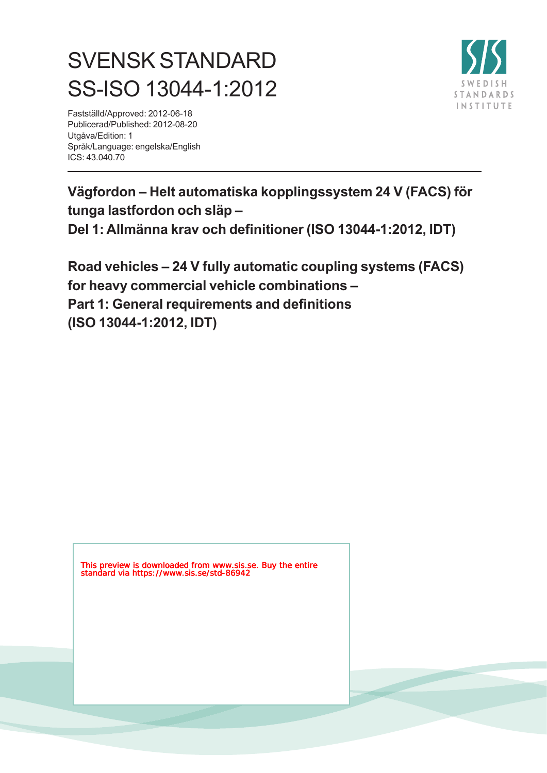# SVENSK STANDARD SS-ISO 13044-1:2012



Fastställd/Approved: 2012-06-18 Publicerad/Published: 2012-08-20 Utgåva/Edition: 1 Språk/Language: engelska/English ICS: 43.040.70

**Vägfordon – Helt automatiska kopplingssystem 24 V (FACS) för tunga lastfordon och släp – Del 1: Allmänna krav och definitioner (ISO 13044-1:2012, IDT)**

**Road vehicles – 24 V fully automatic coupling systems (FACS) for heavy commercial vehicle combinations – Part 1: General requirements and definitions (ISO 13044‑1:2012, IDT)**

This preview is downloaded from www.sis.se. Buy the entire standard via https://www.sis.se/std-86942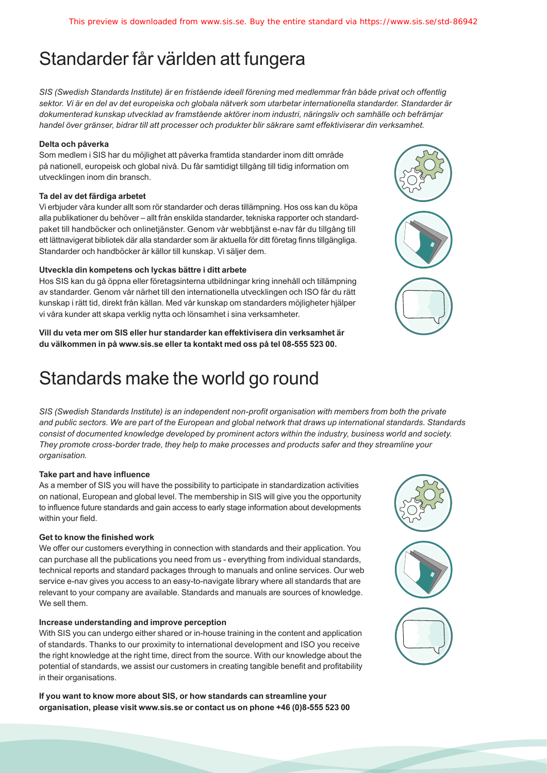## Standarder får världen att fungera

*SIS (Swedish Standards Institute) är en fristående ideell förening med medlemmar från både privat och offentlig sektor. Vi är en del av det europeiska och globala nätverk som utarbetar internationella standarder. Standarder är dokumenterad kunskap utvecklad av framstående aktörer inom industri, näringsliv och samhälle och befrämjar handel över gränser, bidrar till att processer och produkter blir säkrare samt effektiviserar din verksamhet.* 

#### **Delta och påverka**

Som medlem i SIS har du möjlighet att påverka framtida standarder inom ditt område på nationell, europeisk och global nivå. Du får samtidigt tillgång till tidig information om utvecklingen inom din bransch.

#### **Ta del av det färdiga arbetet**

Vi erbjuder våra kunder allt som rör standarder och deras tillämpning. Hos oss kan du köpa alla publikationer du behöver – allt från enskilda standarder, tekniska rapporter och standardpaket till handböcker och onlinetjänster. Genom vår webbtjänst e-nav får du tillgång till ett lättnavigerat bibliotek där alla standarder som är aktuella för ditt företag finns tillgängliga. Standarder och handböcker är källor till kunskap. Vi säljer dem.

#### **Utveckla din kompetens och lyckas bättre i ditt arbete**

Hos SIS kan du gå öppna eller företagsinterna utbildningar kring innehåll och tillämpning av standarder. Genom vår närhet till den internationella utvecklingen och ISO får du rätt kunskap i rätt tid, direkt från källan. Med vår kunskap om standarders möjligheter hjälper vi våra kunder att skapa verklig nytta och lönsamhet i sina verksamheter.

**Vill du veta mer om SIS eller hur standarder kan effektivisera din verksamhet är du välkommen in på www.sis.se eller ta kontakt med oss på tel 08-555 523 00.**

## Standards make the world go round

*SIS (Swedish Standards Institute) is an independent non-profit organisation with members from both the private and public sectors. We are part of the European and global network that draws up international standards. Standards consist of documented knowledge developed by prominent actors within the industry, business world and society. They promote cross-border trade, they help to make processes and products safer and they streamline your organisation.*

#### **Take part and have influence**

As a member of SIS you will have the possibility to participate in standardization activities on national, European and global level. The membership in SIS will give you the opportunity to influence future standards and gain access to early stage information about developments within your field.

#### **Get to know the finished work**

We offer our customers everything in connection with standards and their application. You can purchase all the publications you need from us - everything from individual standards, technical reports and standard packages through to manuals and online services. Our web service e-nav gives you access to an easy-to-navigate library where all standards that are relevant to your company are available. Standards and manuals are sources of knowledge. We sell them.

#### **Increase understanding and improve perception**

With SIS you can undergo either shared or in-house training in the content and application of standards. Thanks to our proximity to international development and ISO you receive the right knowledge at the right time, direct from the source. With our knowledge about the potential of standards, we assist our customers in creating tangible benefit and profitability in their organisations.

**If you want to know more about SIS, or how standards can streamline your organisation, please visit www.sis.se or contact us on phone +46 (0)8-555 523 00**



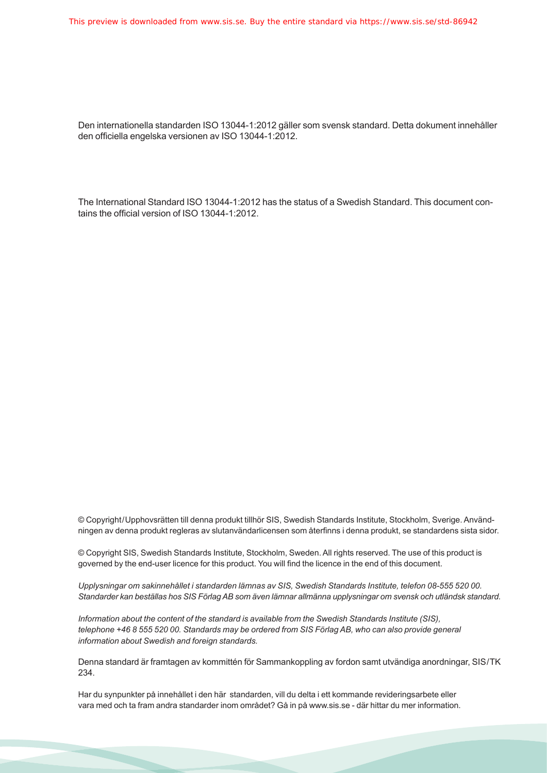Den internationella standarden ISO 13044-1:2012 gäller som svensk standard. Detta dokument innehåller den officiella engelska versionen av ISO 13044-1:2012.

The International Standard ISO 13044-1:2012 has the status of a Swedish Standard. This document contains the official version of ISO 13044-1:2012.

© Copyright / Upphovsrätten till denna produkt tillhör SIS, Swedish Standards Institute, Stockholm, Sverige. Användningen av denna produkt regleras av slutanvändarlicensen som återfinns i denna produkt, se standardens sista sidor.

© Copyright SIS, Swedish Standards Institute, Stockholm, Sweden. All rights reserved. The use of this product is governed by the end-user licence for this product. You will find the licence in the end of this document.

*Upplysningar om sakinnehållet i standarden lämnas av SIS, Swedish Standards Institute, telefon 08-555 520 00. Standarder kan beställas hos SIS Förlag AB som även lämnar allmänna upplysningar om svensk och utländsk standard.*

*Information about the content of the standard is available from the Swedish Standards Institute (SIS), telephone +46 8 555 520 00. Standards may be ordered from SIS Förlag AB, who can also provide general information about Swedish and foreign standards.*

Denna standard är framtagen av kommittén för Sammankoppling av fordon samt utvändiga anordningar, SIS / TK 234.

Har du synpunkter på innehållet i den här standarden, vill du delta i ett kommande revideringsarbete eller vara med och ta fram andra standarder inom området? Gå in på www.sis.se - där hittar du mer information.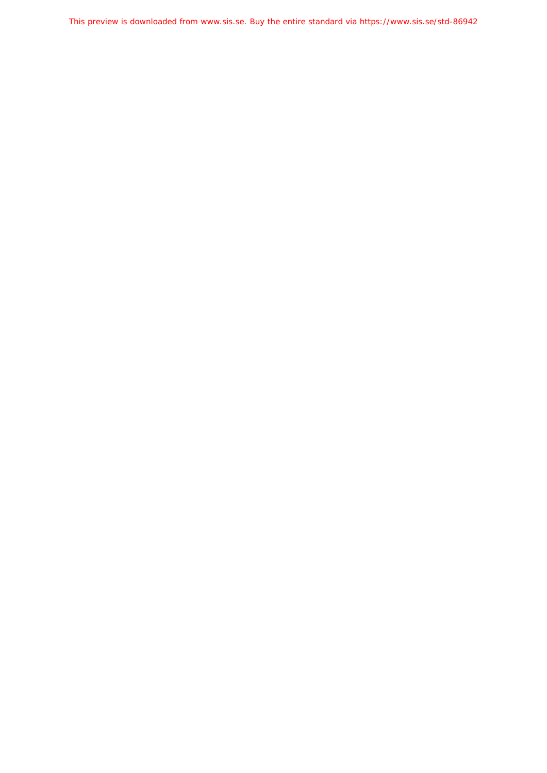This preview is downloaded from www.sis.se. Buy the entire standard via https://www.sis.se/std-86942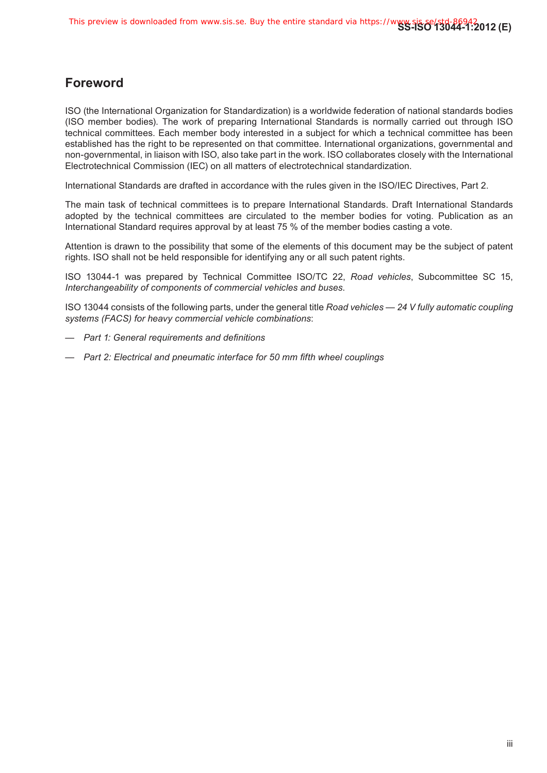**ISO 13044-1:2012(E)**

## **Foreword**

ISO (the International Organization for Standardization) is a worldwide federation of national standards bodies (ISO member bodies). The work of preparing International Standards is normally carried out through ISO technical committees. Each member body interested in a subject for which a technical committee has been established has the right to be represented on that committee. International organizations, governmental and non-governmental, in liaison with ISO, also take part in the work. ISO collaborates closely with the International Electrotechnical Commission (IEC) on all matters of electrotechnical standardization.

International Standards are drafted in accordance with the rules given in the ISO/IEC Directives, Part 2.

The main task of technical committees is to prepare International Standards. Draft International Standards adopted by the technical committees are circulated to the member bodies for voting. Publication as an International Standard requires approval by at least 75 % of the member bodies casting a vote.

Attention is drawn to the possibility that some of the elements of this document may be the subject of patent rights. ISO shall not be held responsible for identifying any or all such patent rights.

ISO 13044-1 was prepared by Technical Committee ISO/TC 22, *Road vehicles*, Subcommittee SC 15, *Interchangeability of components of commercial vehicles and buses*.

ISO 13044 consists of the following parts, under the general title *Road vehicles — 24 V fully automatic coupling systems (FACS) for heavy commercial vehicle combinations*:

- *Part 1: General requirements and definitions*
- *Part 2: Electrical and pneumatic interface for 50 mm fifth wheel couplings*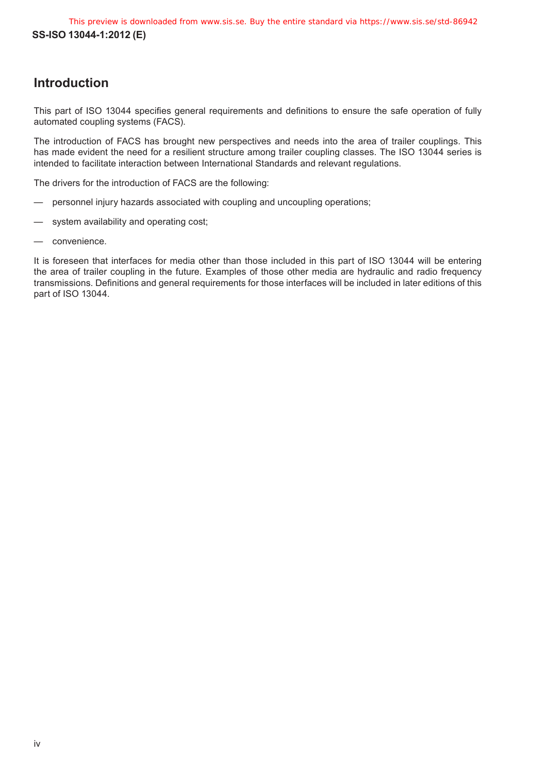## **Introduction**

This part of ISO 13044 specifies general requirements and definitions to ensure the safe operation of fully automated coupling systems (FACS).

The introduction of FACS has brought new perspectives and needs into the area of trailer couplings. This has made evident the need for a resilient structure among trailer coupling classes. The ISO 13044 series is intended to facilitate interaction between International Standards and relevant regulations.

The drivers for the introduction of FACS are the following:

- personnel injury hazards associated with coupling and uncoupling operations;
- system availability and operating cost;
- convenience.

It is foreseen that interfaces for media other than those included in this part of ISO 13044 will be entering the area of trailer coupling in the future. Examples of those other media are hydraulic and radio frequency transmissions. Definitions and general requirements for those interfaces will be included in later editions of this part of ISO 13044.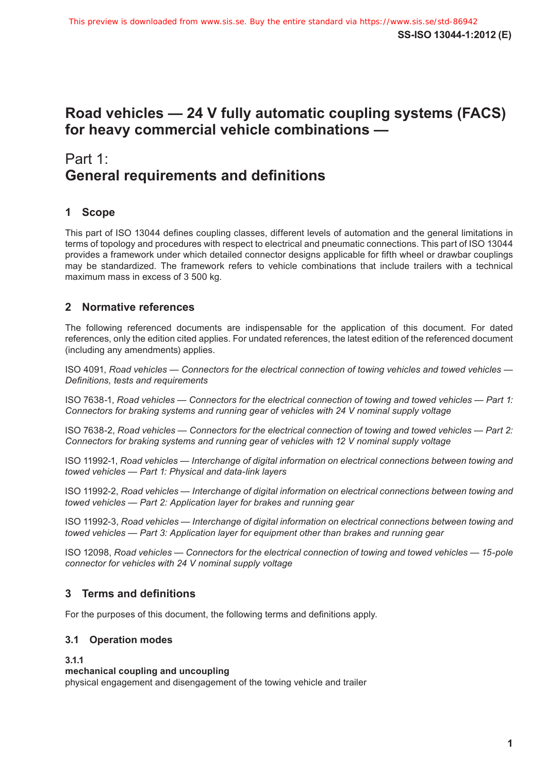## **Road vehicles — 24 V fully automatic coupling systems (FACS) for heavy commercial vehicle combinations —**

## Part 1: **General requirements and definitions**

### **1 Scope**

This part of ISO 13044 defines coupling classes, different levels of automation and the general limitations in terms of topology and procedures with respect to electrical and pneumatic connections. This part of ISO 13044 provides a framework under which detailed connector designs applicable for fifth wheel or drawbar couplings may be standardized. The framework refers to vehicle combinations that include trailers with a technical maximum mass in excess of 3 500 kg.

#### **2 Normative references**

The following referenced documents are indispensable for the application of this document. For dated references, only the edition cited applies. For undated references, the latest edition of the referenced document (including any amendments) applies.

ISO 4091, *Road vehicles — Connectors for the electrical connection of towing vehicles and towed vehicles — Definitions, tests and requirements*

ISO 7638-1, *Road vehicles — Connectors for the electrical connection of towing and towed vehicles — Part 1: Connectors for braking systems and running gear of vehicles with 24 V nominal supply voltage*

ISO 7638-2, *Road vehicles — Connectors for the electrical connection of towing and towed vehicles — Part 2: Connectors for braking systems and running gear of vehicles with 12 V nominal supply voltage*

ISO 11992-1, *Road vehicles — Interchange of digital information on electrical connections between towing and towed vehicles — Part 1: Physical and data-link layers*

ISO 11992-2, *Road vehicles — Interchange of digital information on electrical connections between towing and towed vehicles — Part 2: Application layer for brakes and running gear*

ISO 11992-3, *Road vehicles — Interchange of digital information on electrical connections between towing and towed vehicles — Part 3: Application layer for equipment other than brakes and running gear*

ISO 12098, *Road vehicles — Connectors for the electrical connection of towing and towed vehicles — 15-pole connector for vehicles with 24 V nominal supply voltage*

### **3 Terms and definitions**

For the purposes of this document, the following terms and definitions apply.

#### **3.1 Operation modes**

#### **3.1.1**

#### **mechanical coupling and uncoupling**

physical engagement and disengagement of the towing vehicle and trailer